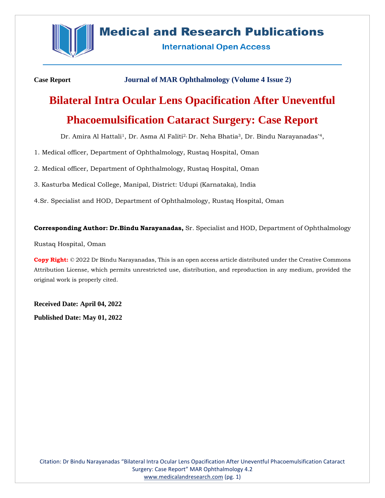

# **Medical and Research Publications**

**International Open Access** 

**Case Report Journal of MAR Ophthalmology (Volume 4 Issue 2)**

# **Bilateral Intra Ocular Lens Opacification After Uneventful Phacoemulsification Cataract Surgery: Case Report**

Dr. Amira Al Hattali<sup>1</sup>, Dr. Asma Al Faliti<sup>2,</sup> Dr. Neha Bhatia<sup>3</sup>, Dr. Bindu Narayanadas<sup>\*4</sup>,

1. Medical officer, Department of Ophthalmology, Rustaq Hospital, Oman

2. Medical officer, Department of Ophthalmology, Rustaq Hospital, Oman

3. Kasturba Medical College, Manipal, District: Udupi (Karnataka), India

4.Sr. Specialist and HOD, Department of Ophthalmology, Rustaq Hospital, Oman

# **Corresponding Author: Dr.Bindu Narayanadas,** Sr. Specialist and HOD, Department of Ophthalmology

Rustaq Hospital, Oman

**Copy Right:** © 2022 Dr Bindu Narayanadas, This is an open access article distributed under the Creative Commons Attribution License, which permits unrestricted use, distribution, and reproduction in any medium, provided the original work is properly cited.

**Received Date: April 04, 2022 Published Date: May 01, 2022**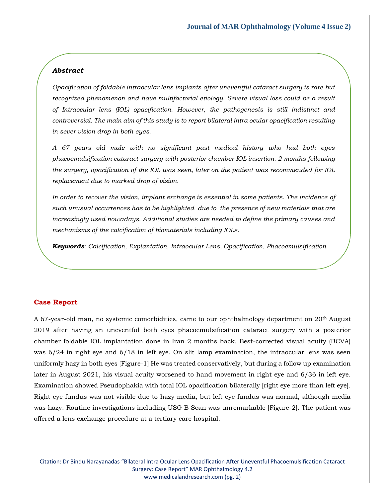## *Abstract*

*Opacification of foldable intraocular lens implants after uneventful cataract surgery is rare but recognized phenomenon and have multifactorial etiology. Severe visual loss could be a result of Intraocular lens (IOL) opacification. However, the pathogenesis is still indistinct and controversial. The main aim of this study is to report bilateral intra ocular opacification resulting in sever vision drop in both eyes.* 

*A 67 years old male with no significant past medical history who had both eyes phacoemulsification cataract surgery with posterior chamber IOL insertion. 2 months following the surgery, opacification of the IOL was seen, later on the patient was recommended for IOL replacement due to marked drop of vision.*

*In order to recover the vision, implant exchange is essential in some patients. The incidence of such unusual occurrences has to be highlighted due to the presence of new materials that are increasingly used nowadays. Additional studies are needed to define the primary causes and mechanisms of the calcification of biomaterials including IOLs.*

*Keywords: Calcification, Explantation, Intraocular Lens, Opacification, Phacoemulsification.*

#### **Case Report**

A 67-year-old man, no systemic comorbidities, came to our ophthalmology department on 20th August 2019 after having an uneventful both eyes phacoemulsification cataract surgery with a posterior chamber foldable IOL implantation done in Iran 2 months back. Best-corrected visual acuity (BCVA) was 6/24 in right eye and 6/18 in left eye. On slit lamp examination, the intraocular lens was seen uniformly hazy in both eyes [Figure-1] He was treated conservatively, but during a follow up examination later in August 2021, his visual acuity worsened to hand movement in right eye and 6/36 in left eye. Examination showed Pseudophakia with total IOL opacification bilaterally [right eye more than left eye]. Right eye fundus was not visible due to hazy media, but left eye fundus was normal, although media was hazy. Routine investigations including USG B Scan was unremarkable [Figure-2]. The patient was offered a lens exchange procedure at a tertiary care hospital.

Citation: Dr Bindu Narayanadas "Bilateral Intra Ocular Lens Opacification After Uneventful Phacoemulsification Cataract Surgery: Case Report" MAR Ophthalmology 4.2 [www.medicalandresearch.com](http://www.medicalandresearch.com/) (pg. 2)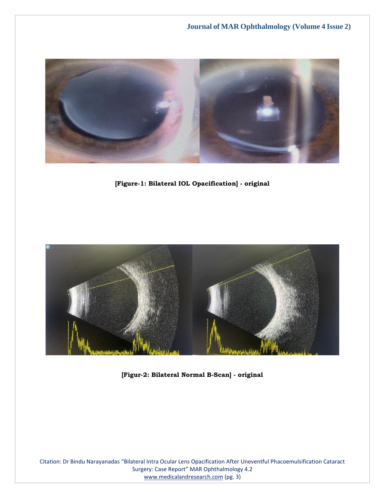

**[Figure-1: Bilateral IOL Opacification] - original**



**[Figur-2: Bilateral Normal B-Scan] - original**

Citation: Dr Bindu Narayanadas "Bilateral Intra Ocular Lens Opacification After Uneventful Phacoemulsification Cataract Surgery: Case Report" MAR Ophthalmology 4.2 [www.medicalandresearch.com](http://www.medicalandresearch.com/) (pg. 3)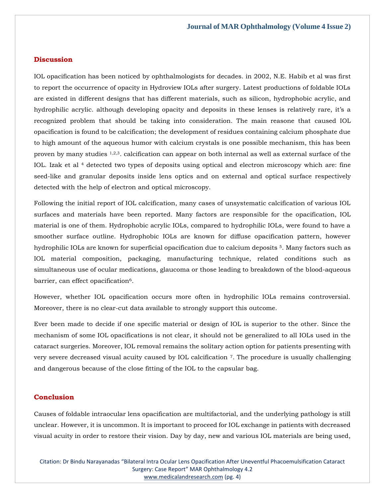#### **Discussion**

IOL opacification has been noticed by ophthalmologists for decades. in 2002, N.E. Habib et al was first to report the occurrence of opacity in Hydroview IOLs after surgery. Latest productions of foldable IOLs are existed in different designs that has different materials, such as silicon, hydrophobic acrylic, and hydrophilic acrylic. although developing opacity and deposits in these lenses is relatively rare, it's a recognized problem that should be taking into consideration. The main reasone that caused IOL opacification is found to be calcification; the development of residues containing calcium phosphate due to high amount of the aqueous humor with calcium crystals is one possible mechanism, this has been proven by many studies 1,2,3. calcification can appear on both internal as well as external surface of the IOL. Izak et al <sup>4</sup> detected two types of deposits using optical and electron microscopy which are: fine seed-like and granular deposits inside lens optics and on external and optical surface respectively detected with the help of electron and optical microscopy.

Following the initial report of IOL calcification, many cases of unsystematic calcification of various IOL surfaces and materials have been reported. Many factors are responsible for the opacification, IOL material is one of them. Hydrophobic acrylic IOLs, compared to hydrophilic IOLs, were found to have a smoother surface outline. Hydrophobic IOLs are known for diffuse opacification pattern, however hydrophilic IOLs are known for superficial opacification due to calcium deposits <sup>5</sup>. Many factors such as IOL material composition, packaging, manufacturing technique, related conditions such as simultaneous use of ocular medications, glaucoma or those leading to breakdown of the blood-aqueous barrier, can effect opacification<sup>6</sup>.

However, whether IOL opacification occurs more often in hydrophilic IOLs remains controversial. Moreover, there is no clear-cut data available to strongly support this outcome.

Ever been made to decide if one specific material or design of IOL is superior to the other. Since the mechanism of some IOL opacifications is not clear, it should not be generalized to all IOLs used in the cataract surgeries. Moreover, IOL removal remains the solitary action option for patients presenting with very severe decreased visual acuity caused by IOL calcification 7. The procedure is usually challenging and dangerous because of the close fitting of the IOL to the capsular bag.

#### **Conclusion**

Causes of foldable intraocular lens opacification are multifactorial, and the underlying pathology is still unclear. However, it is uncommon. It is important to proceed for IOL exchange in patients with decreased visual acuity in order to restore their vision. Day by day, new and various IOL materials are being used,

Citation: Dr Bindu Narayanadas "Bilateral Intra Ocular Lens Opacification After Uneventful Phacoemulsification Cataract Surgery: Case Report" MAR Ophthalmology 4.2 [www.medicalandresearch.com](http://www.medicalandresearch.com/) (pg. 4)